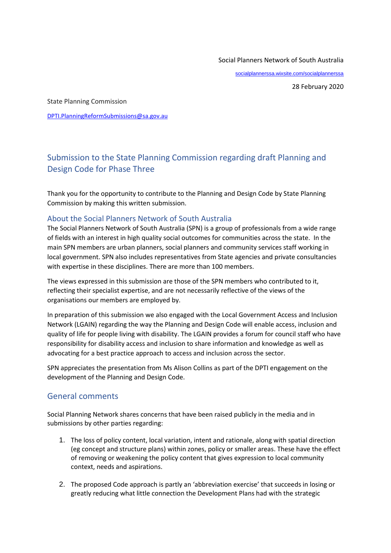#### Social Planners Network of South Australia

[socialplannerssa.wixsite.com/socialplannerssa](file:///C:/Users/BailDavi/AppData/Local/Microsoft/Windows/INetCache/Content.Outlook/UQAF57HM/socialplannerssa.wixsite.com/socialplannerssa)

28 February 2020

State Planning Commission

[DPTI.PlanningReformSubmissions@sa.gov.au](mailto:DPTI.PlanningReformSubmissions@sa.gov.au)

# Submission to the State Planning Commission regarding draft Planning and Design Code for Phase Three

Thank you for the opportunity to contribute to the Planning and Design Code by State Planning Commission by making this written submission.

#### About the Social Planners Network of South Australia

The Social Planners Network of South Australia (SPN) is a group of professionals from a wide range of fields with an interest in high quality social outcomes for communities across the state. In the main SPN members are urban planners, social planners and community services staff working in local government. SPN also includes representatives from State agencies and private consultancies with expertise in these disciplines. There are more than 100 members.

The views expressed in this submission are those of the SPN members who contributed to it, reflecting their specialist expertise, and are not necessarily reflective of the views of the organisations our members are employed by.

In preparation of this submission we also engaged with the Local Government Access and Inclusion Network (LGAIN) regarding the way the Planning and Design Code will enable access, inclusion and quality of life for people living with disability. The LGAIN provides a forum for council staff who have responsibility for disability access and inclusion to share information and knowledge as well as advocating for a best practice approach to access and inclusion across the sector.

SPN appreciates the presentation from Ms Alison Collins as part of the DPTI engagement on the development of the Planning and Design Code.

## General comments

Social Planning Network shares concerns that have been raised publicly in the media and in submissions by other parties regarding:

- 1. The loss of policy content, local variation, intent and rationale, along with spatial direction (eg concept and structure plans) within zones, policy or smaller areas. These have the effect of removing or weakening the policy content that gives expression to local community context, needs and aspirations.
- 2. The proposed Code approach is partly an 'abbreviation exercise' that succeeds in losing or greatly reducing what little connection the Development Plans had with the strategic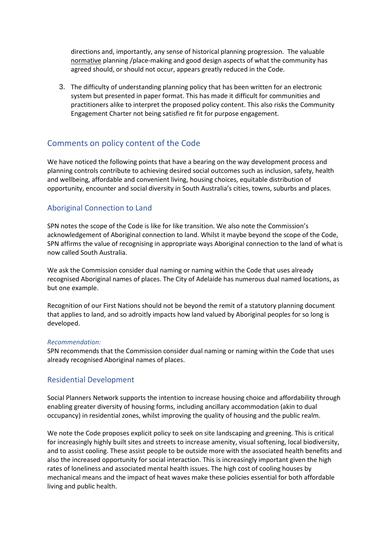directions and, importantly, any sense of historical planning progression. The valuable normative planning /place-making and good design aspects of what the community has agreed should, or should not occur, appears greatly reduced in the Code.

3. The difficulty of understanding planning policy that has been written for an electronic system but presented in paper format. This has made it difficult for communities and practitioners alike to interpret the proposed policy content. This also risks the Community Engagement Charter not being satisfied re fit for purpose engagement.

## Comments on policy content of the Code

We have noticed the following points that have a bearing on the way development process and planning controls contribute to achieving desired social outcomes such as inclusion, safety, health and wellbeing, affordable and convenient living, housing choices, equitable distribution of opportunity, encounter and social diversity in South Australia's cities, towns, suburbs and places.

#### Aboriginal Connection to Land

SPN notes the scope of the Code is like for like transition. We also note the Commission's acknowledgement of Aboriginal connection to land. Whilst it maybe beyond the scope of the Code, SPN affirms the value of recognising in appropriate ways Aboriginal connection to the land of what is now called South Australia.

We ask the Commission consider dual naming or naming within the Code that uses already recognised Aboriginal names of places. The City of Adelaide has numerous dual named locations, as but one example.

Recognition of our First Nations should not be beyond the remit of a statutory planning document that applies to land, and so adroitly impacts how land valued by Aboriginal peoples for so long is developed.

#### *Recommendation:*

SPN recommends that the Commission consider dual naming or naming within the Code that uses already recognised Aboriginal names of places.

#### Residential Development

Social Planners Network supports the intention to increase housing choice and affordability through enabling greater diversity of housing forms, including ancillary accommodation (akin to dual occupancy) in residential zones, whilst improving the quality of housing and the public realm.

We note the Code proposes explicit policy to seek on site landscaping and greening. This is critical for increasingly highly built sites and streets to increase amenity, visual softening, local biodiversity, and to assist cooling. These assist people to be outside more with the associated health benefits and also the increased opportunity for social interaction. This is increasingly important given the high rates of loneliness and associated mental health issues. The high cost of cooling houses by mechanical means and the impact of heat waves make these policies essential for both affordable living and public health.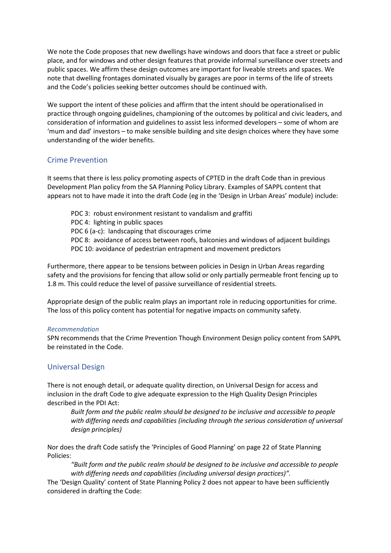We note the Code proposes that new dwellings have windows and doors that face a street or public place, and for windows and other design features that provide informal surveillance over streets and public spaces. We affirm these design outcomes are important for liveable streets and spaces. We note that dwelling frontages dominated visually by garages are poor in terms of the life of streets and the Code's policies seeking better outcomes should be continued with.

We support the intent of these policies and affirm that the intent should be operationalised in practice through ongoing guidelines, championing of the outcomes by political and civic leaders, and consideration of information and guidelines to assist less informed developers – some of whom are 'mum and dad' investors – to make sensible building and site design choices where they have some understanding of the wider benefits.

## Crime Prevention

It seems that there is less policy promoting aspects of CPTED in the draft Code than in previous Development Plan policy from the SA Planning Policy Library. Examples of SAPPL content that appears not to have made it into the draft Code (eg in the 'Design in Urban Areas' module) include:

PDC 3: robust environment resistant to vandalism and graffiti PDC 4: lighting in public spaces PDC 6 (a-c): landscaping that discourages crime PDC 8: avoidance of access between roofs, balconies and windows of adjacent buildings PDC 10: avoidance of pedestrian entrapment and movement predictors

Furthermore, there appear to be tensions between policies in Design in Urban Areas regarding safety and the provisions for fencing that allow solid or only partially permeable front fencing up to 1.8 m. This could reduce the level of passive surveillance of residential streets.

Appropriate design of the public realm plays an important role in reducing opportunities for crime. The loss of this policy content has potential for negative impacts on community safety.

#### *Recommendation*

SPN recommends that the Crime Prevention Though Environment Design policy content from SAPPL be reinstated in the Code.

## Universal Design

There is not enough detail, or adequate quality direction, on Universal Design for access and inclusion in the draft Code to give adequate expression to the High Quality Design Principles described in the PDI Act:

*Built form and the public realm should be designed to be inclusive and accessible to people with differing needs and capabilities (including through the serious consideration of universal design principles)*

Nor does the draft Code satisfy the 'Principles of Good Planning' on page 22 of State Planning Policies:

*"Built form and the public realm should be designed to be inclusive and accessible to people with differing needs and capabilities (including universal design practices)".*

The 'Design Quality' content of State Planning Policy 2 does not appear to have been sufficiently considered in drafting the Code: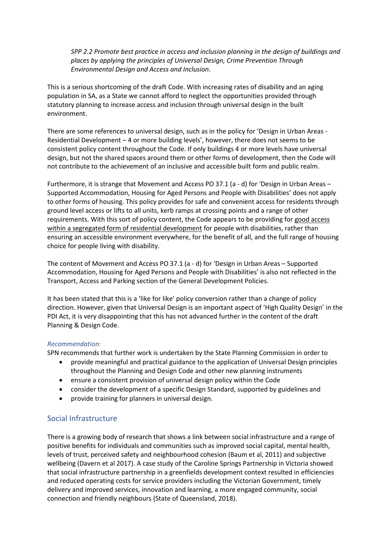*SPP 2.2 Promote best practice in access and inclusion planning in the design of buildings and places by applying the principles of Universal Design, Crime Prevention Through Environmental Design and Access and Inclusion*.

This is a serious shortcoming of the draft Code. With increasing rates of disability and an aging population in SA, as a State we cannot afford to neglect the opportunities provided through statutory planning to increase access and inclusion through universal design in the built environment.

There are some references to universal design, such as in the policy for 'Design in Urban Areas - Residential Development – 4 or more building levels', however, there does not seems to be consistent policy content throughout the Code. If only buildings 4 or more levels have universal design, but not the shared spaces around them or other forms of development, then the Code will not contribute to the achievement of an inclusive and accessible built form and public realm.

Furthermore, it is strange that Movement and Access PO 37.1 (a - d) for 'Design in Urban Areas – Supported Accommodation, Housing for Aged Persons and People with Disabilities' does not apply to other forms of housing. This policy provides for safe and convenient access for residents through ground level access or lifts to all units, kerb ramps at crossing points and a range of other requirements. With this sort of policy content, the Code appears to be providing for good access within a segregated form of residential development for people with disabilities, rather than ensuring an accessible environment everywhere, for the benefit of all, and the full range of housing choice for people living with disability.

The content of Movement and Access PO 37.1 (a - d) for 'Design in Urban Areas – Supported Accommodation, Housing for Aged Persons and People with Disabilities' is also not reflected in the Transport, Access and Parking section of the General Development Policies.

It has been stated that this is a 'like for like' policy conversion rather than a change of policy direction. However, given that Universal Design is an important aspect of 'High Quality Design' in the PDI Act, it is very disappointing that this has not advanced further in the content of the draft Planning & Design Code.

#### *Recommendation:*

SPN recommends that further work is undertaken by the State Planning Commission in order to

- provide meaningful and practical guidance to the application of Universal Design principles throughout the Planning and Design Code and other new planning instruments
- ensure a consistent provision of universal design policy within the Code
- consider the development of a specific Design Standard, supported by guidelines and
- provide training for planners in universal design.

## Social Infrastructure

There is a growing body of research that shows a link between social infrastructure and a range of positive benefits for individuals and communities such as improved social capital, mental health, levels of trust, perceived safety and neighbourhood cohesion (Baum et al, 2011) and subjective wellbeing (Davern et al 2017). A case study of the Caroline Springs Partnership in Victoria showed that social infrastructure partnership in a greenfields development context resulted in efficiencies and reduced operating costs for service providers including the Victorian Government, timely delivery and improved services, innovation and learning, a more engaged community, social connection and friendly neighbours (State of Queensland, 2018).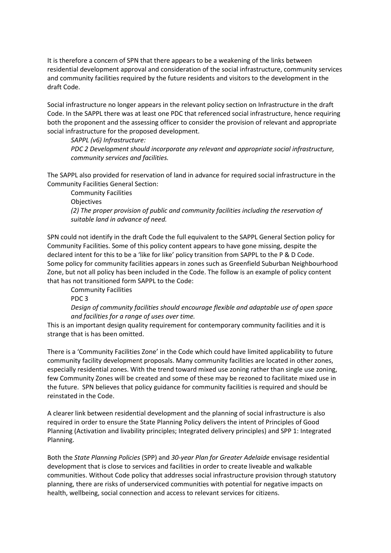It is therefore a concern of SPN that there appears to be a weakening of the links between residential development approval and consideration of the social infrastructure, community services and community facilities required by the future residents and visitors to the development in the draft Code.

Social infrastructure no longer appears in the relevant policy section on Infrastructure in the draft Code. In the SAPPL there was at least one PDC that referenced social infrastructure, hence requiring both the proponent and the assessing officer to consider the provision of relevant and appropriate social infrastructure for the proposed development.

#### *SAPPL (v6) Infrastructure:*

*PDC 2 Development should incorporate any relevant and appropriate social infrastructure, community services and facilities.*

The SAPPL also provided for reservation of land in advance for required social infrastructure in the Community Facilities General Section:

Community Facilities **Objectives** *(2) The proper provision of public and community facilities including the reservation of suitable land in advance of need.*

SPN could not identify in the draft Code the full equivalent to the SAPPL General Section policy for Community Facilities. Some of this policy content appears to have gone missing, despite the declared intent for this to be a 'like for like' policy transition from SAPPL to the P & D Code. Some policy for community facilities appears in zones such as Greenfield Suburban Neighbourhood Zone, but not all policy has been included in the Code. The follow is an example of policy content that has not transitioned form SAPPL to the Code:

Community Facilities

PDC 3

*Design of community facilities should encourage flexible and adaptable use of open space and facilities for a range of uses over time.*

This is an important design quality requirement for contemporary community facilities and it is strange that is has been omitted.

There is a 'Community Facilities Zone' in the Code which could have limited applicability to future community facility development proposals. Many community facilities are located in other zones, especially residential zones. With the trend toward mixed use zoning rather than single use zoning, few Community Zones will be created and some of these may be rezoned to facilitate mixed use in the future. SPN believes that policy guidance for community facilities is required and should be reinstated in the Code.

A clearer link between residential development and the planning of social infrastructure is also required in order to ensure the State Planning Policy delivers the intent of Principles of Good Planning (Activation and livability principles; Integrated delivery principles) and SPP 1: Integrated Planning.

Both the *State Planning Policies* (SPP) and *30-year Plan for Greater Adelaide* envisage residential development that is close to services and facilities in order to create liveable and walkable communities. Without Code policy that addresses social infrastructure provision through statutory planning, there are risks of underserviced communities with potential for negative impacts on health, wellbeing, social connection and access to relevant services for citizens.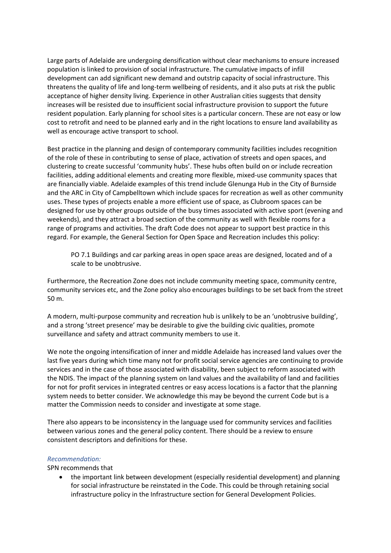Large parts of Adelaide are undergoing densification without clear mechanisms to ensure increased population is linked to provision of social infrastructure. The cumulative impacts of infill development can add significant new demand and outstrip capacity of social infrastructure. This threatens the quality of life and long-term wellbeing of residents, and it also puts at risk the public acceptance of higher density living. Experience in other Australian cities suggests that density increases will be resisted due to insufficient social infrastructure provision to support the future resident population. Early planning for school sites is a particular concern. These are not easy or low cost to retrofit and need to be planned early and in the right locations to ensure land availability as well as encourage active transport to school.

Best practice in the planning and design of contemporary community facilities includes recognition of the role of these in contributing to sense of place, activation of streets and open spaces, and clustering to create successful 'community hubs'. These hubs often build on or include recreation facilities, adding additional elements and creating more flexible, mixed-use community spaces that are financially viable. Adelaide examples of this trend include Glenunga Hub in the City of Burnside and the ARC in City of Campbelltown which include spaces for recreation as well as other community uses. These types of projects enable a more efficient use of space, as Clubroom spaces can be designed for use by other groups outside of the busy times associated with active sport (evening and weekends), and they attract a broad section of the community as well with flexible rooms for a range of programs and activities. The draft Code does not appear to support best practice in this regard. For example, the General Section for Open Space and Recreation includes this policy:

PO 7.1 Buildings and car parking areas in open space areas are designed, located and of a scale to be unobtrusive.

Furthermore, the Recreation Zone does not include community meeting space, community centre, community services etc, and the Zone policy also encourages buildings to be set back from the street 50 m.

A modern, multi-purpose community and recreation hub is unlikely to be an 'unobtrusive building', and a strong 'street presence' may be desirable to give the building civic qualities, promote surveillance and safety and attract community members to use it.

We note the ongoing intensification of inner and middle Adelaide has increased land values over the last five years during which time many not for profit social service agencies are continuing to provide services and in the case of those associated with disability, been subject to reform associated with the NDIS. The impact of the planning system on land values and the availability of land and facilities for not for profit services in integrated centres or easy access locations is a factor that the planning system needs to better consider. We acknowledge this may be beyond the current Code but is a matter the Commission needs to consider and investigate at some stage.

There also appears to be inconsistency in the language used for community services and facilities between various zones and the general policy content. There should be a review to ensure consistent descriptors and definitions for these.

#### *Recommendation:*

SPN recommends that

• the important link between development (especially residential development) and planning for social infrastructure be reinstated in the Code. This could be through retaining social infrastructure policy in the Infrastructure section for General Development Policies.